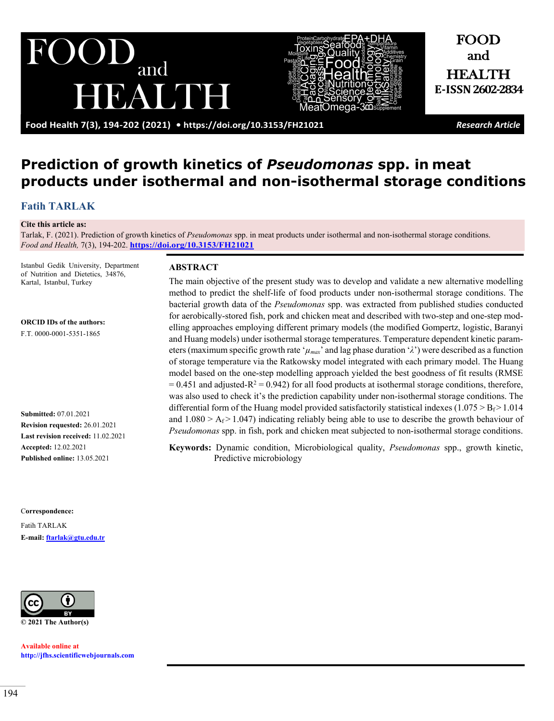and BALINH



and HEALTH **E-ISSN2602-2834**

FOOD

**Food Health 7(3), 194-202 (2021) •<https://doi.org/10.3153/FH21021>** *Research Article*

# **Prediction of growth kinetics of** *Pseudomonas* **spp. in meat products under isothermal and non-isothermal storage conditions**

# **[Fatih TARLAK](https://orcid.org/0000-0001-5351-1865)**

#### **Cite this article as:**

Tarlak, F. (2021). Prediction of growth kinetics of *Pseudomonas* spp. in meat products under isothermal and non-isothermal storage conditions. *Food and Health,* 7(3), 194-202. **<https://doi.org/10.3153/FH21021>**

Istanbul Gedik University, Department of Nutrition and Dietetics, 34876, Kartal, Istanbul, Turkey

**ORCID IDs of the authors:**

F.T. 0000-0001-5351-1865

**Submitted:** 07.01.2021 **Revision requested:** 26.01.2021 **Last revision received:** 11.02.2021 **Accepted:** 12.02.2021 **Published online:** 13.05.2021

C**orrespondence:** 

Fatih TARLAK **E-mail: [ftarlak@gtu.edu.tr](mailto:ftarlak@gtu.edu.tr)**



**Available online at [http://jfhs.scientificwebjournals.com](http://jfhs.scientificwebjournals.com/)**

#### **ABSTRACT**

The main objective of the present study was to develop and validate a new alternative modelling method to predict the shelf-life of food products under non-isothermal storage conditions. The bacterial growth data of the *Pseudomonas* spp. was extracted from published studies conducted for aerobically-stored fish, pork and chicken meat and described with two-step and one-step modelling approaches employing different primary models (the modified Gompertz, logistic, Baranyi and Huang models) under isothermal storage temperatures. Temperature dependent kinetic parameters (maximum specific growth rate ' $\mu_{max}$ ' and lag phase duration ' $\lambda$ ') were described as a function of storage temperature via the Ratkowsky model integrated with each primary model. The Huang model based on the one-step modelling approach yielded the best goodness of fit results (RMSE  $= 0.451$  and adjusted-R<sup>2</sup> = 0.942) for all food products at isothermal storage conditions, therefore, was also used to check it's the prediction capability under non-isothermal storage conditions. The differential form of the Huang model provided satisfactorily statistical indexes (1.075  $>$  B<sub>f</sub> $>$  1.014 and  $1.080 > A_f > 1.047$ ) indicating reliably being able to use to describe the growth behaviour of *Pseudomonas* spp. in fish, pork and chicken meat subjected to non-isothermal storage conditions.

**Keywords:** Dynamic condition, Microbiological quality, *Pseudomonas* spp., growth kinetic, Predictive microbiology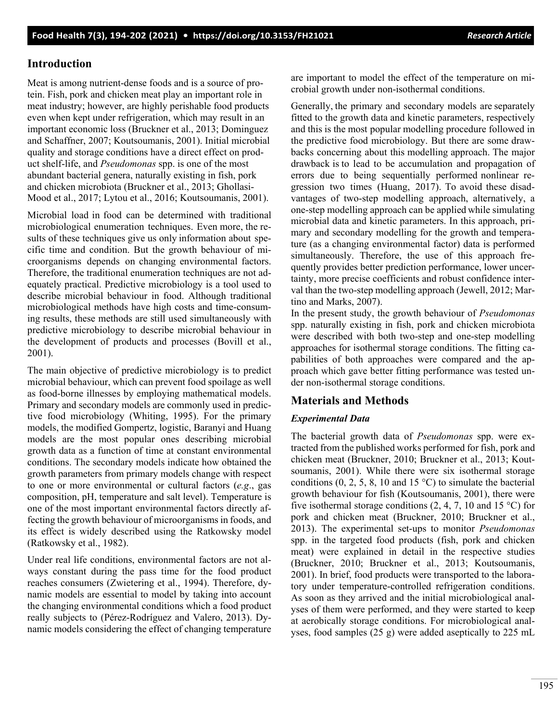# **Introduction**

Meat is among nutrient-dense foods and is a source of protein. Fish, pork and chicken meat play an important role in meat industry; however, are highly perishable food products even when kept under refrigeration, which may result in an important economic loss (Bruckner et al., 2013; Dominguez and Schaffner, 2007; Koutsoumanis, 2001). Initial microbial quality and storage conditions have a direct effect on product shelf-life, and *Pseudomonas* spp. is one of the most abundant bacterial genera, naturally existing in fish, pork and chicken microbiota (Bruckner et al., 2013; Ghollasi-Mood et al., 2017; Lytou et al., 2016; Koutsoumanis, 2001).

Microbial load in food can be determined with traditional microbiological enumeration techniques. Even more, the results of these techniques give us only information about specific time and condition. But the growth behaviour of microorganisms depends on changing environmental factors. Therefore, the traditional enumeration techniques are not adequately practical. Predictive microbiology is a tool used to describe microbial behaviour in food. Although traditional microbiological methods have high costs and time-consuming results, these methods are still used simultaneously with predictive microbiology to describe microbial behaviour in the development of products and processes (Bovill et al., 2001).

The main objective of predictive microbiology is to predict microbial behaviour, which can prevent food spoilage as well as food-borne illnesses by employing mathematical models. Primary and secondary models are commonly used in predictive food microbiology (Whiting, 1995). For the primary models, the modified Gompertz, logistic, Baranyi and Huang models are the most popular ones describing microbial growth data as a function of time at constant environmental conditions. The secondary models indicate how obtained the growth parameters from primary models change with respect to one or more environmental or cultural factors (*e.g*., gas composition, pH, temperature and salt level). Temperature is one of the most important environmental factors directly affecting the growth behaviour of microorganisms in foods, and its effect is widely described using the Ratkowsky model (Ratkowsky et al., 1982).

Under real life conditions, environmental factors are not always constant during the pass time for the food product reaches consumers (Zwietering et al., 1994). Therefore, dynamic models are essential to model by taking into account the changing environmental conditions which a food product really subjects to (Pérez-Rodríguez and Valero, 2013). Dynamic models considering the effect of changing temperature are important to model the effect of the temperature on microbial growth under non-isothermal conditions.

Generally, the primary and secondary models are separately fitted to the growth data and kinetic parameters, respectively and this is the most popular modelling procedure followed in the predictive food microbiology. But there are some drawbacks concerning about this modelling approach. The major drawback is to lead to be accumulation and propagation of errors due to being sequentially performed nonlinear regression two times (Huang, 2017). To avoid these disadvantages of two-step modelling approach, alternatively, a one-step modelling approach can be applied while simulating microbial data and kinetic parameters. In this approach, primary and secondary modelling for the growth and temperature (as a changing environmental factor) data is performed simultaneously. Therefore, the use of this approach frequently provides better prediction performance, lower uncertainty, more precise coefficients and robust confidence interval than the two-step modelling approach (Jewell, 2012; Martino and Marks, 2007).

In the present study, the growth behaviour of *Pseudomonas*  spp. naturally existing in fish, pork and chicken microbiota were described with both two-step and one-step modelling approaches for isothermal storage conditions. The fitting capabilities of both approaches were compared and the approach which gave better fitting performance was tested under non-isothermal storage conditions.

# **Materials and Methods**

# *Experimental Data*

The bacterial growth data of *Pseudomonas* spp. were extracted from the published works performed for fish, pork and chicken meat (Bruckner, 2010; Bruckner et al., 2013; Koutsoumanis, 2001). While there were six isothermal storage conditions  $(0, 2, 5, 8, 10, 15 \degree C)$  to simulate the bacterial growth behaviour for fish (Koutsoumanis, 2001), there were five isothermal storage conditions  $(2, 4, 7, 10, \text{ and } 15 \degree \text{C})$  for pork and chicken meat (Bruckner, 2010; Bruckner et al., 2013). The experimental set-ups to monitor *Pseudomonas* spp. in the targeted food products (fish, pork and chicken meat) were explained in detail in the respective studies (Bruckner, 2010; Bruckner et al., 2013; Koutsoumanis, 2001). In brief, food products were transported to the laboratory under temperature-controlled refrigeration conditions. As soon as they arrived and the initial microbiological analyses of them were performed, and they were started to keep at aerobically storage conditions. For microbiological analyses, food samples (25 g) were added aseptically to 225 mL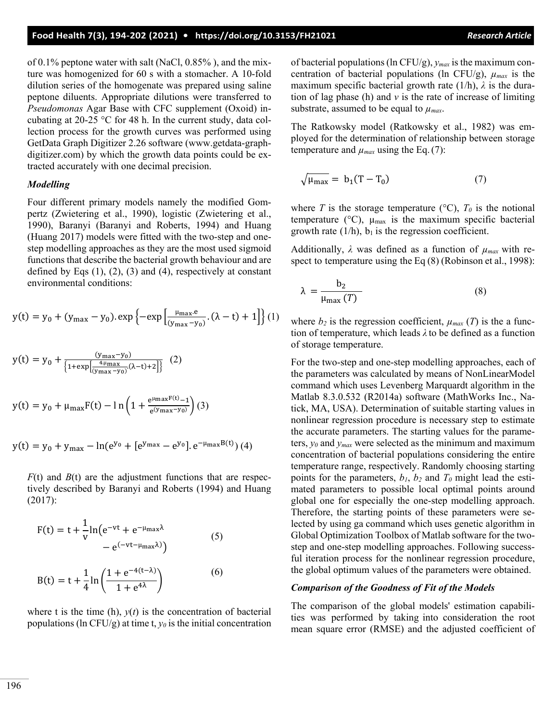of 0.1% peptone water with salt (NaCl, 0.85% ), and the mixture was homogenized for 60 s with a stomacher. A 10-fold dilution series of the homogenate was prepared using saline peptone diluents. Appropriate dilutions were transferred to *Pseudomonas* Agar Base with CFC supplement (Oxoid) incubating at 20-25 °C for 48 h. In the current study, data collection process for the growth curves was performed using GetData Graph Digitizer 2.26 software (www.getdata-graphdigitizer.com) by which the growth data points could be extracted accurately with one decimal precision.

#### *Modelling*

Four different primary models namely the modified Gompertz (Zwietering et al., 1990), logistic (Zwietering et al., 1990), Baranyi (Baranyi and Roberts, 1994) and Huang (Huang 2017) models were fitted with the two-step and onestep modelling approaches as they are the most used sigmoid functions that describe the bacterial growth behaviour and are defined by Eqs  $(1)$ ,  $(2)$ ,  $(3)$  and  $(4)$ , respectively at constant environmental conditions:

$$
y(t) = y_0 + (y_{\text{max}} - y_0) \cdot \exp\left\{-\exp\left[\frac{\mu_{\text{max}}.e}{(y_{\text{max}} - y_0)} \cdot (\lambda - t) + 1\right]\right\} (1)
$$

$$
y(t) = y_0 + \frac{(y_{\text{max}} - y_0)}{\left\{1 + \exp\left[\frac{4 \cdot \mu_{\text{max}} - y_0}{(y_{\text{max}} - y_0)} (\lambda - t) + 2\right]\right\}} (2)
$$
  

$$
y(t) = y_0 + \mu_{\text{max}} F(t) - \ln\left(1 + \frac{e^{\mu_{\text{max}} F(t)} - 1}{e^{(y_{\text{max}} - y_0)}}\right) (3)
$$

$$
y(t) = y_0 + y_{max} - ln(e^{y_0} + [e^{y_{max}} - e^{y_0}].e^{-\mu_{max}B(t)})
$$
(4)

 $F(t)$  and  $B(t)$  are the adjustment functions that are respectively described by Baranyi and Roberts (1994) and Huang (2017):

$$
F(t) = t + \frac{1}{v} \ln(e^{-vt} + e^{-\mu_{\text{max}}\lambda})
$$
  
\n
$$
- e^{(-vt - \mu_{\text{max}}\lambda)})
$$
\n
$$
B(t) = t + \frac{1}{4} \ln\left(\frac{1 + e^{-4(t-\lambda)}}{1 + e^{4\lambda}}\right)
$$
\n(6)

where t is the time (h),  $y(t)$  is the concentration of bacterial populations (ln CFU/g) at time t,  $y_0$  is the initial concentration of bacterial populations (ln CFU/g), *ymax* is the maximum concentration of bacterial populations (ln CFU/g),  $\mu_{max}$  is the maximum specific bacterial growth rate  $(1/h)$ ,  $\lambda$  is the duration of lag phase (h) and *v* is the rate of increase of limiting substrate, assumed to be equal to  $\mu_{max}$ .

The Ratkowsky model (Ratkowsky et al., 1982) was employed for the determination of relationship between storage temperature and  $\mu_{max}$  using the Eq. (7):

$$
\sqrt{\mu_{\text{max}}} = b_1 (T - T_0) \tag{7}
$$

where *T* is the storage temperature  $({}^{\circ}C)$ ,  $T_0$  is the notional temperature ( $\rm{^{\circ}C}$ ),  $\mu_{\rm{max}}$  is the maximum specific bacterial growth rate  $(1/h)$ ,  $b_1$  is the regression coefficient.

Additionally,  $\lambda$  was defined as a function of  $\mu_{max}$  with respect to temperature using the Eq  $(8)$  (Robinson et al., 1998):

$$
\lambda = \frac{b_2}{\mu_{\text{max}}(T)}\tag{8}
$$

where  $b_2$  is the regression coefficient,  $\mu_{max}(T)$  is the a function of temperature, which leads *λ* to be defined as a function of storage temperature.

For the two-step and one-step modelling approaches, each of the parameters was calculated by means of NonLinearModel command which uses Levenberg Marquardt algorithm in the Matlab 8.3.0.532 (R2014a) software (MathWorks Inc., Natick, MA, USA). Determination of suitable starting values in nonlinear regression procedure is necessary step to estimate the accurate parameters. The starting values for the parameters, *y0* and *ymax* were selected as the minimum and maximum concentration of bacterial populations considering the entire temperature range, respectively. Randomly choosing starting points for the parameters,  $b_1$ ,  $b_2$  and  $T_0$  might lead the estimated parameters to possible local optimal points around global one for especially the one-step modelling approach. Therefore, the starting points of these parameters were selected by using ga command which uses genetic algorithm in Global Optimization Toolbox of Matlab software for the twostep and one-step modelling approaches. Following successful iteration process for the nonlinear regression procedure, the global optimum values of the parameters were obtained.

#### *Comparison of the Goodness of Fit of the Models*

The comparison of the global models' estimation capabilities was performed by taking into consideration the root mean square error (RMSE) and the adjusted coefficient of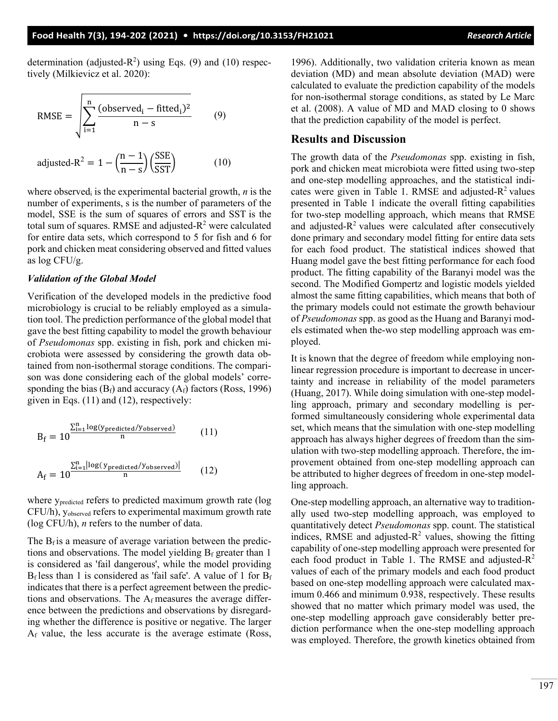determination (adjusted- $R^2$ ) using Eqs. (9) and (10) respectively (Milkievicz et al. 2020):

RMSE = 
$$
\sqrt{\sum_{i=1}^{n} \frac{(\text{observed}_i - \text{fitted}_i)^2}{n - s}}
$$
 (9)

adjusted-R<sup>2</sup> = 1 –  $\left(\frac{n-1}{n-1}\right)$  $\frac{1}{n-s}$  $\frac{\text{SSE}}{\text{SST}}$  (10)

where observed<sub>i</sub> is the experimental bacterial growth,  $n$  is the number of experiments, s is the number of parameters of the model, SSE is the sum of squares of errors and SST is the total sum of squares. RMSE and adjusted- $R^2$  were calculated for entire data sets, which correspond to 5 for fish and 6 for pork and chicken meat considering observed and fitted values as log CFU/g.

#### *Validation of the Global Model*

Verification of the developed models in the predictive food microbiology is crucial to be reliably employed as a simulation tool. The prediction performance of the global model that gave the best fitting capability to model the growth behaviour of *Pseudomonas* spp. existing in fish, pork and chicken microbiota were assessed by considering the growth data obtained from non-isothermal storage conditions. The comparison was done considering each of the global models' corresponding the bias  $(B_f)$  and accuracy  $(A_f)$  factors (Ross, 1996) given in Eqs. (11) and (12), respectively:

$$
B_f = 10^{\frac{\sum_{i=1}^{n} \log(y_{predicted}/y_{observed})}{n}}
$$
 (11)  

$$
A_f = 10^{\frac{\sum_{i=1}^{n} |\log(y_{predicted}/y_{observed})|}{n}}
$$
 (12)

where y<sub>predicted</sub> refers to predicted maximum growth rate (log CFU/h), yobserved refers to experimental maximum growth rate (log CFU/h), *n* refers to the number of data.

The  $B_f$  is a measure of average variation between the predictions and observations. The model yielding  $B_f$  greater than 1 is considered as 'fail dangerous', while the model providing  $B_f$  less than 1 is considered as 'fail safe'. A value of 1 for  $B_f$ indicates that there is a perfect agreement between the predictions and observations. The  $A_f$  measures the average difference between the predictions and observations by disregarding whether the difference is positive or negative. The larger Af value, the less accurate is the average estimate (Ross,

1996). Additionally, two validation criteria known as mean deviation (MD) and mean absolute deviation (MAD) were calculated to evaluate the prediction capability of the models for non-isothermal storage conditions, as stated by Le Marc et al. (2008). A value of MD and MAD closing to 0 shows that the prediction capability of the model is perfect.

### **Results and Discussion**

The growth data of the *Pseudomonas* spp. existing in fish, pork and chicken meat microbiota were fitted using two-step and one-step modelling approaches, and the statistical indicates were given in Table 1. RMSE and adjusted- $R^2$  values presented in Table 1 indicate the overall fitting capabilities for two-step modelling approach, which means that RMSE and adjusted- $R^2$  values were calculated after consecutively done primary and secondary model fitting for entire data sets for each food product. The statistical indices showed that Huang model gave the best fitting performance for each food product. The fitting capability of the Baranyi model was the second. The Modified Gompertz and logistic models yielded almost the same fitting capabilities, which means that both of the primary models could not estimate the growth behaviour of *Pseudomonas* spp. as good as the Huang and Baranyi models estimated when the-wo step modelling approach was employed.

It is known that the degree of freedom while employing nonlinear regression procedure is important to decrease in uncertainty and increase in reliability of the model parameters (Huang, 2017). While doing simulation with one-step modelling approach, primary and secondary modelling is performed simultaneously considering whole experimental data set, which means that the simulation with one-step modelling approach has always higher degrees of freedom than the simulation with two-step modelling approach. Therefore, the improvement obtained from one-step modelling approach can be attributed to higher degrees of freedom in one-step modelling approach.

One-step modelling approach, an alternative way to traditionally used two-step modelling approach, was employed to quantitatively detect *Pseudomonas* spp. count. The statistical indices, RMSE and adjusted- $R^2$  values, showing the fitting capability of one-step modelling approach were presented for each food product in Table 1. The RMSE and adjusted- $R^2$ values of each of the primary models and each food product based on one-step modelling approach were calculated maximum 0.466 and minimum 0.938, respectively. These results showed that no matter which primary model was used, the one-step modelling approach gave considerably better prediction performance when the one-step modelling approach was employed. Therefore, the growth kinetics obtained from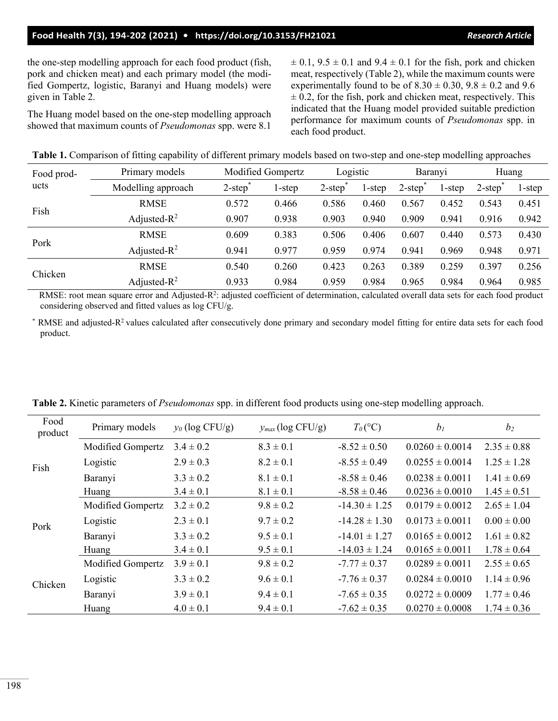the one-step modelling approach for each food product (fish, pork and chicken meat) and each primary model (the modified Gompertz, logistic, Baranyi and Huang models) were given in Table 2.

The Huang model based on the one-step modelling approach showed that maximum counts of *Pseudomonas* spp. were 8.1

 $\pm$  0.1, 9.5  $\pm$  0.1 and 9.4  $\pm$  0.1 for the fish, pork and chicken meat, respectively (Table 2), while the maximum counts were experimentally found to be of  $8.30 \pm 0.30$ ,  $9.8 \pm 0.2$  and  $9.6$  $\pm$  0.2, for the fish, pork and chicken meat, respectively. This indicated that the Huang model provided suitable prediction performance for maximum counts of *Pseudomonas* spp. in each food product.

|  |  | Table 1. Comparison of fitting capability of different primary models based on two-step and one-step modelling approaches |
|--|--|---------------------------------------------------------------------------------------------------------------------------|
|  |  |                                                                                                                           |

|                    |                    |                                           |                   |                          |        |           |        | ັ້ນ                                       |        |
|--------------------|--------------------|-------------------------------------------|-------------------|--------------------------|--------|-----------|--------|-------------------------------------------|--------|
| Food prod-<br>ucts | Primary models     |                                           | Modified Gompertz | Logistic                 |        | Baranyi   |        | Huang                                     |        |
|                    | Modelling approach | $2$ -step <sup><math>\degree</math></sup> | 1-step            | $2$ -step $\overline{a}$ | 1-step | $2$ -step | l-step | $2$ -step <sup><math>\degree</math></sup> | 1-step |
| Fish               | <b>RMSE</b>        | 0.572                                     | 0.466             | 0.586                    | 0.460  | 0.567     | 0.452  | 0.543                                     | 0.451  |
|                    | Adjusted- $R^2$    | 0.907                                     | 0.938             | 0.903                    | 0.940  | 0.909     | 0.941  | 0.916                                     | 0.942  |
| Pork               | <b>RMSE</b>        | 0.609                                     | 0.383             | 0.506                    | 0.406  | 0.607     | 0.440  | 0.573                                     | 0.430  |
|                    | Adjusted- $R^2$    | 0.941                                     | 0.977             | 0.959                    | 0.974  | 0.941     | 0.969  | 0.948                                     | 0.971  |
| Chicken            | <b>RMSE</b>        | 0.540                                     | 0.260             | 0.423                    | 0.263  | 0.389     | 0.259  | 0.397                                     | 0.256  |
|                    | Adjusted- $R^2$    | 0.933                                     | 0.984             | 0.959                    | 0.984  | 0.965     | 0.984  | 0.964                                     | 0.985  |

RMSE: root mean square error and Adjusted-R<sup>2</sup>: adjusted coefficient of determination, calculated overall data sets for each food product considering observed and fitted values as log CFU/g.

 $*$  RMSE and adjusted-R<sup>2</sup> values calculated after consecutively done primary and secondary model fitting for entire data sets for each food product.

| Food<br>product | Primary models    | $y_0$ (log CFU/g) | $y_{max}$ (log CFU/g) | $T_{0}$ (°C)      | $b_I$               | b <sub>2</sub>  |
|-----------------|-------------------|-------------------|-----------------------|-------------------|---------------------|-----------------|
| Fish            | Modified Gompertz | $3.4 \pm 0.2$     | $8.3 \pm 0.1$         | $-8.52 \pm 0.50$  | $0.0260 \pm 0.0014$ | $2.35 \pm 0.88$ |
|                 | Logistic          | $2.9 \pm 0.3$     | $8.2 \pm 0.1$         | $-8.55 \pm 0.49$  | $0.0255 \pm 0.0014$ | $1.25 \pm 1.28$ |
|                 | Baranyi           | $3.3 \pm 0.2$     | $8.1 \pm 0.1$         | $-8.58 \pm 0.46$  | $0.0238 \pm 0.0011$ | $1.41 \pm 0.69$ |
|                 | Huang             | $3.4 \pm 0.1$     | $8.1 \pm 0.1$         | $-8.58 \pm 0.46$  | $0.0236 \pm 0.0010$ | $1.45 \pm 0.51$ |
| Pork            | Modified Gompertz | $3.2 \pm 0.2$     | $9.8 \pm 0.2$         | $-14.30 \pm 1.25$ | $0.0179 \pm 0.0012$ | $2.65 \pm 1.04$ |
|                 | Logistic          | $2.3 \pm 0.1$     | $9.7 \pm 0.2$         | $-14.28 \pm 1.30$ | $0.0173 \pm 0.0011$ | $0.00 \pm 0.00$ |
|                 | Baranyi           | $3.3 \pm 0.2$     | $9.5 \pm 0.1$         | $-14.01 \pm 1.27$ | $0.0165 \pm 0.0012$ | $1.61 \pm 0.82$ |
|                 | Huang             | $3.4 \pm 0.1$     | $9.5 \pm 0.1$         | $-14.03 \pm 1.24$ | $0.0165 \pm 0.0011$ | $1.78 \pm 0.64$ |
| Chicken         | Modified Gompertz | $3.9 \pm 0.1$     | $9.8 \pm 0.2$         | $-7.77 \pm 0.37$  | $0.0289 \pm 0.0011$ | $2.55 \pm 0.65$ |
|                 | Logistic          | $3.3 \pm 0.2$     | $9.6 \pm 0.1$         | $-7.76 \pm 0.37$  | $0.0284 \pm 0.0010$ | $1.14 \pm 0.96$ |
|                 | Baranyi           | $3.9 \pm 0.1$     | $9.4 \pm 0.1$         | $-7.65 \pm 0.35$  | $0.0272 \pm 0.0009$ | $1.77 \pm 0.46$ |
|                 | Huang             | $4.0 \pm 0.1$     | $9.4 \pm 0.1$         | $-7.62 \pm 0.35$  | $0.0270 \pm 0.0008$ | $1.74 \pm 0.36$ |

**Table 2.** Kinetic parameters of *Pseudomonas* spp. in different food products using one-step modelling approach.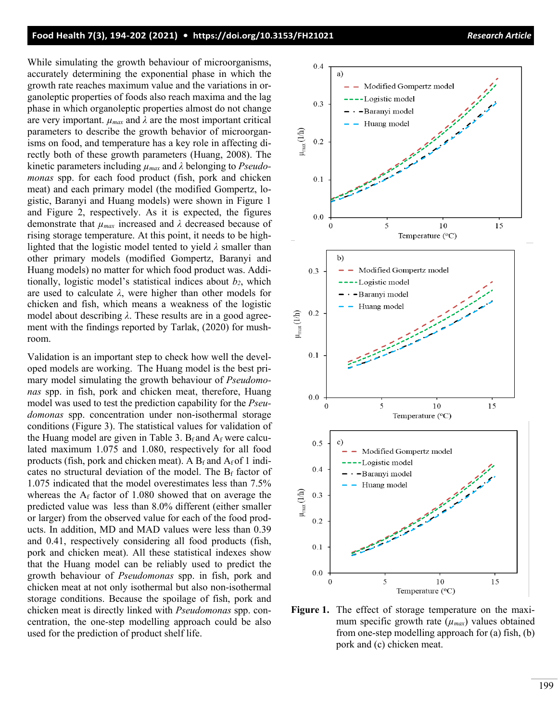While simulating the growth behaviour of microorganisms, accurately determining the exponential phase in which the growth rate reaches maximum value and the variations in organoleptic properties of foods also reach maxima and the lag phase in which organoleptic properties almost do not change are very important.  $\mu_{max}$  and  $\lambda$  are the most important critical parameters to describe the growth behavior of microorganisms on food, and temperature has a key role in affecting directly both of these growth parameters (Huang, 2008). The kinetic parameters including *µmax* and *λ* belonging to *Pseudomonas* spp. for each food product (fish, pork and chicken meat) and each primary model (the modified Gompertz, logistic, Baranyi and Huang models) were shown in Figure 1 and Figure 2, respectively. As it is expected, the figures demonstrate that *µmax* increased and *λ* decreased because of rising storage temperature. At this point, it needs to be highlighted that the logistic model tented to yield *λ* smaller than other primary models (modified Gompertz, Baranyi and Huang models) no matter for which food product was. Additionally, logistic model's statistical indices about  $b_2$ , which are used to calculate *λ*, were higher than other models for chicken and fish, which means a weakness of the logistic model about describing *λ*. These results are in a good agreement with the findings reported by Tarlak, (2020) for mushroom.

Validation is an important step to check how well the developed models are working. The Huang model is the best primary model simulating the growth behaviour of *Pseudomonas* spp. in fish, pork and chicken meat, therefore, Huang model was used to test the prediction capability for the *Pseudomonas* spp. concentration under non-isothermal storage conditions (Figure 3). The statistical values for validation of the Huang model are given in Table 3.  $B_f$  and  $A_f$  were calculated maximum 1.075 and 1.080, respectively for all food products (fish, pork and chicken meat). A  $B_f$  and  $A_f$  of 1 indicates no structural deviation of the model. The  $B_f$  factor of 1.075 indicated that the model overestimates less than 7.5% whereas the  $A_f$  factor of 1.080 showed that on average the predicted value was less than 8.0% different (either smaller or larger) from the observed value for each of the food products. In addition, MD and MAD values were less than 0.39 and 0.41, respectively considering all food products (fish, pork and chicken meat). All these statistical indexes show that the Huang model can be reliably used to predict the growth behaviour of *Pseudomonas* spp. in fish, pork and chicken meat at not only isothermal but also non-isothermal storage conditions. Because the spoilage of fish, pork and chicken meat is directly linked with *Pseudomonas* spp. concentration, the one-step modelling approach could be also used for the prediction of product shelf life.



**Figure 1.** The effect of storage temperature on the maximum specific growth rate  $(\mu_{max})$  values obtained from one-step modelling approach for (a) fish, (b) pork and (c) chicken meat.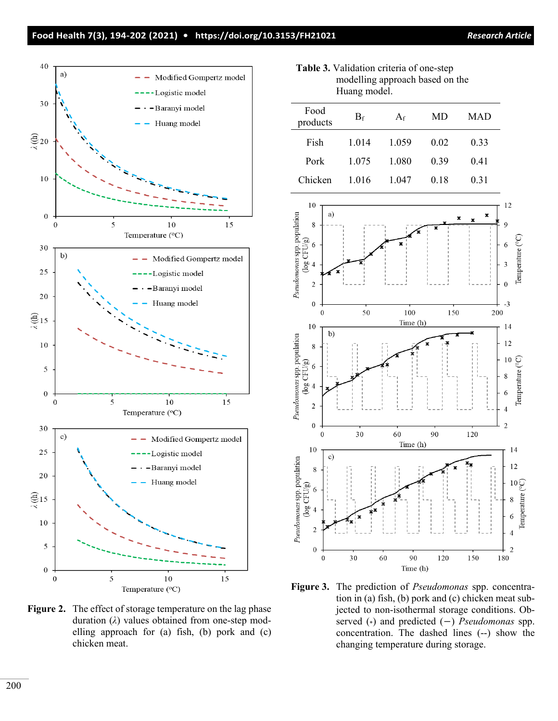### **Food Health 7(3), 194-202 (2021) • <https://doi.org/10.3153/FH21021>** *Research Article*



**Figure 2.** The effect of storage temperature on the lag phase duration (*λ*) values obtained from one-step modelling approach for (a) fish, (b) pork and (c) chicken meat.

**Table 3.** Validation criteria of one-step modelling approach based on the Huang model.

| Food<br>products | $B_f$ | $A_f$ | MD   | <b>MAD</b> |
|------------------|-------|-------|------|------------|
| Fish             | 1.014 | 1.059 | 0.02 | 0.33       |
| Pork             | 1.075 | 1.080 | 0.39 | 0.41       |
| Chicken          | 1.016 | 1.047 | 0.18 | 0.31       |



**Figure 3.** The prediction of *Pseudomonas* spp. concentration in (a) fish, (b) pork and (c) chicken meat subjected to non-isothermal storage conditions. Observed (\*) and predicted (−) *Pseudomonas* spp. concentration. The dashed lines (--) show the changing temperature during storage.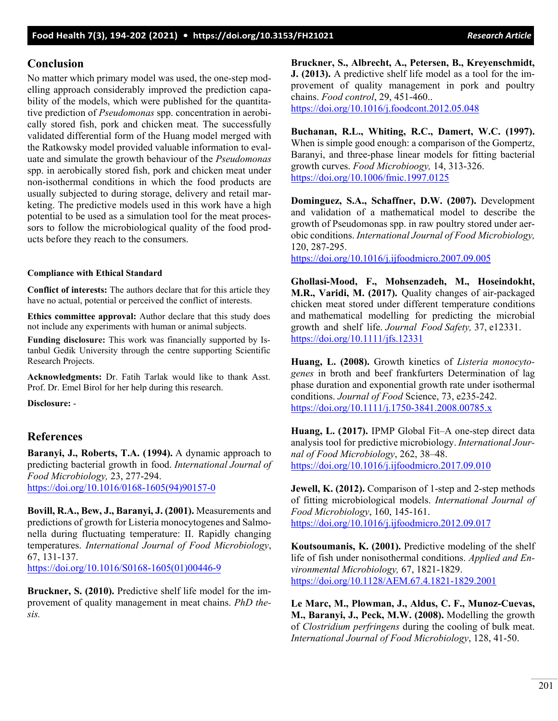# **Conclusion**

No matter which primary model was used, the one-step modelling approach considerably improved the prediction capability of the models, which were published for the quantitative prediction of *Pseudomonas* spp. concentration in aerobically stored fish, pork and chicken meat. The successfully validated differential form of the Huang model merged with the Ratkowsky model provided valuable information to evaluate and simulate the growth behaviour of the *Pseudomonas* spp. in aerobically stored fish, pork and chicken meat under non-isothermal conditions in which the food products are usually subjected to during storage, delivery and retail marketing. The predictive models used in this work have a high potential to be used as a simulation tool for the meat processors to follow the microbiological quality of the food products before they reach to the consumers.

### **Compliance with Ethical Standard**

**Conflict of interests:** The authors declare that for this article they have no actual, potential or perceived the conflict of interests.

**Ethics committee approval:** Author declare that this study does not include any experiments with human or animal subjects.

**Funding disclosure:** This work was financially supported by Istanbul Gedik University through the centre supporting Scientific Research Projects.

**Acknowledgments:** Dr. Fatih Tarlak would like to thank Asst. Prof. Dr. Emel Birol for her help during this research.

**Disclosure:** -

### **References**

**Baranyi, J., Roberts, T.A. (1994).** A dynamic approach to predicting bacterial growth in food. *[International Journal of](https://www.sciencedirect.com/science/journal/01681605) [Food Microbiology,](https://www.sciencedirect.com/science/journal/01681605)* 23, 277-294.

[https://doi.org/10.1016/0168-1605\(94\)90157-0](https://doi.org/10.1016/0168-1605(94)90157-0)

**Bovill, R.A., Bew, J., Baranyi, J. (2001).** Measurements and predictions of growth for Listeria monocytogenes and Salmonella during fluctuating temperature: II. Rapidly changing temperatures. *International Journal of Food Microbiology*, 67, 131-137.

[https://doi.org/10.1016/S0168-1605\(01\)00446-9](https://doi.org/10.1016/S0168-1605(01)00446-9)

**Bruckner, S. (2010).** Predictive shelf life model for the improvement of quality management in meat chains. *PhD thesis.*

**Bruckner, S., Albrecht, A., Petersen, B., Kreyenschmidt, J. (2013).** A predictive shelf life model as a tool for the improvement of quality management in pork and poultry chains. *Food control*, 29, 451-460..

<https://doi.org/10.1016/j.foodcont.2012.05.048>

**Buchanan, R.L., Whiting, R.C., Damert, W.C. (1997).** When is simple good enough: a comparison of the Gompertz, Baranyi, and three-phase linear models for fitting bacterial growth curves. *Food Microbioogy,* 14, 313-326. <https://doi.org/10.1006/fmic.1997.0125>

**Dominguez, S.A., Schaffner, D.W. (2007).** Development and validation of a mathematical model to describe the growth of Pseudomonas spp. in raw poultry stored under aerobic conditions. *[International Journal of Food Microbiology,](https://www.sciencedirect.com/science/journal/01681605)*  120, 287-295.

<https://doi.org/10.1016/j.ijfoodmicro.2007.09.005>

**Ghollasi-Mood, F., Mohsenzadeh, M., Hoseindokht, M.R., Varidi, M. (2017).** Quality changes of air-packaged chicken meat stored under different temperature conditions and mathematical modelling for predicting the microbial growth and shelf life. *Journal Food Safety,* 37, e12331. <https://doi.org/10.1111/jfs.12331>

**Huang, L. (2008).** Growth kinetics of *Listeria monocytogenes* in broth and beef frankfurters Determination of lag phase duration and exponential growth rate under isothermal conditions. *Journal of Food* Science, 73, e235-242. <https://doi.org/10.1111/j.1750-3841.2008.00785.x>

**Huang, L. (2017).** IPMP Global Fit–A one-step direct data analysis tool for predictive microbiology. *International Journal of Food Microbiology*, 262, 38–48. <https://doi.org/10.1016/j.ijfoodmicro.2017.09.010>

**Jewell, K. (2012).** Comparison of 1-step and 2-step methods of fitting microbiological models. *International Journal of Food Microbiology*, 160, 145-161. <https://doi.org/10.1016/j.ijfoodmicro.2012.09.017>

**Koutsoumanis, K. (2001).** Predictive modeling of the shelf life of fish under nonisothermal conditions. *Applied and Environmental Microbiology,* 67, 1821-1829. <https://doi.org/10.1128/AEM.67.4.1821-1829.2001>

**Le Marc, M., Plowman, J., Aldus, C. F., Munoz-Cuevas, M., Baranyi, J., Peck, M.W. (2008).** Modelling the growth of *Clostridium perfringens* during the cooling of bulk meat. *International Journal of Food Microbiology*, 128, 41-50.